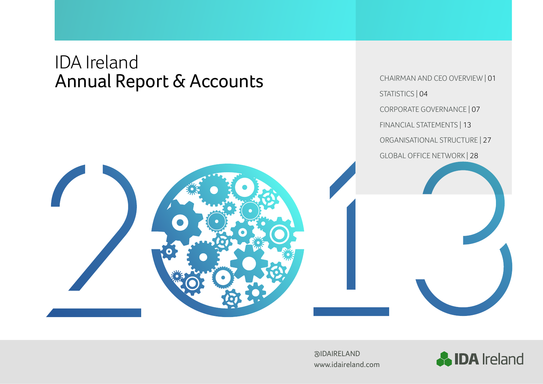# IDA Ireland Annual Report & Accounts

CHAIRMAN AND CEO OVERVIEW | 01 STATISTICS | 04 CORPORATE GOVERNANCE | 07 FINANCIAL STATEMENTS | 13 ORGANISATIONAL STRUCTURE | 27 GLOBAL OFFICE NETWORK | 28





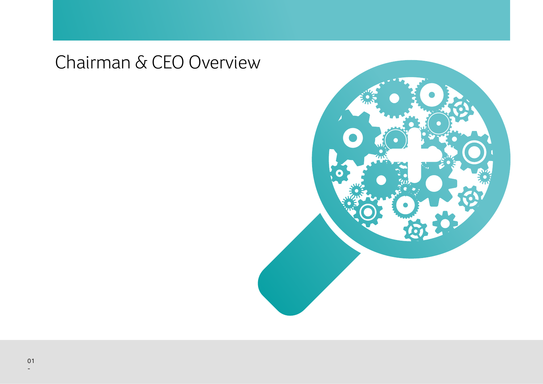# Chairman & CEO Overview

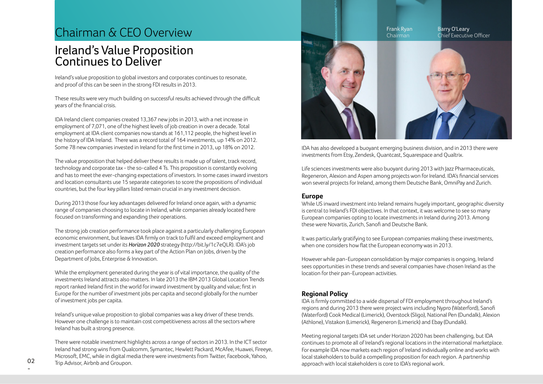## Chairman & CEO Overview

## Ireland's Value Proposition Continues to Deliver

Ireland's value proposition to global investors and corporates continues to resonate, and proof of this can be seen in the strong FDI results in 2013.

These results were very much building on successful results achieved through the difficult years of the financial crisis.

IDA Ireland client companies created 13,367 new jobs in 2013, with a net increase in employment of 7,071, one of the highest levels of job creation in over a decade. Total employment at IDA client companies now stands at 161,112 people, the highest level in the history of IDA Ireland. There was a record total of 164 investments, up 14% on 2012. Some 78 new companies invested in Ireland for the first time in 2013, up 18% on 2012.

The value proposition that helped deliver these results is made up of talent, track record, technology and corporate tax - the so-called 4 Ts. This proposition is constantly evolving and has to meet the ever-changing expectations of investors. In some cases inward investors and location consultants use 15 separate categories to score the propositions of individual countries, but the four key pillars listed remain crucial in any investment decision.

During 2013 those four key advantages delivered for Ireland once again, with a dynamic range of companies choosing to locate in Ireland, while companies already located here focused on transforming and expanding their operations.

The strong job creation performance took place against a particularly challenging European economic environment, but leaves IDA firmly on track to fulfil and exceed employment and investment targets set under its *Horizon 2020* strategy (http://bit.ly/1c7eQLR). IDA's job creation performance also forms a key part of the Action Plan on Jobs, driven by the Department of Jobs, Enterprise & Innovation.

While the employment generated during the year is of vital importance, the quality of the investments Ireland attracts also matters. In late 2013 the IBM 2013 Global Location Trends report ranked Ireland first in the world for inward investment by quality and value; first in Europe for the number of investment jobs per capita and second globally for the number of investment jobs per capita.

Ireland's unique value proposition to global companies was a key driver of these trends. However one challenge is to maintain cost competitiveness across all the sectors where Ireland has built a strong presence.

There were notable investment highlights across a range of sectors in 2013. In the ICT sector Ireland had strong wins from Qualcomm, Symantec, Hewlett Packard, McAfee, Huawei, Fireeye, Microsoft, EMC, while in digital media there were investments from Twitter, Facebook, Yahoo, Trip Advisor, Airbnb and Groupon.



IDA has also developed a buoyant emerging business division, and in 2013 there were investments from Etsy, Zendesk, Quantcast, Squarespace and Qualtrix.

Life sciences investments were also buoyant during 2013 with Jazz Pharmaceuticals, Regeneron, Alexion and Aspen among projects won for Ireland. IDA's financial services won several projects for Ireland, among them Deutsche Bank, OmniPay and Zurich.

#### **Europe**

While US inward investment into Ireland remains hugely important, geographic diversity is central to Ireland's FDI objectives. In that context, it was welcome to see so many European companies opting to locate investments in Ireland during 2013. Among these were Novartis, Zurich, Sanofi and Deutsche Bank.

It was particularly gratifying to see European companies making these investments, when one considers how flat the European economy was in 2013.

However while pan-European consolidation by major companies is ongoing, Ireland sees opportunities in these trends and several companies have chosen Ireland as the location for their pan-European activities.

### **Regional Policy**

IDA is firmly committed to a wide dispersal of FDI employment throughout Ireland's regions and during 2013 there were project wins including Nypro (Waterford), Sanofi (Waterford) Cook Medical (Limerick), Overstock (Sligo), National Pen (Dundalk), Alexion (Athlone), Vistakon (Limerick), Regeneron (Limerick) and Ebay (Dundalk).

Meeting regional targets IDA set under Horizon 2020 has been challenging, but IDA continues to promote all of Ireland's regional locations in the international marketplace. For example IDA now markets each region of Ireland individually online and works with local stakeholders to build a compelling proposition for each region. A partnership approach with local stakeholders is core to IDA's regional work.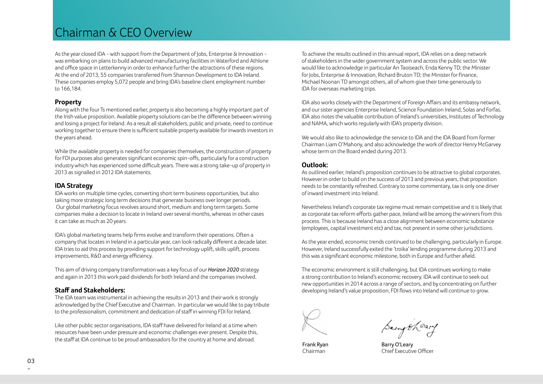## Chairman & CEO Overview

As the year closed IDA - with support from the Department of Jobs, Enterprise & Innovation was embarking on plans to build advanced manufacturing facilities in Waterford and Athlone and office space in Letterkenny in order to enhance further the attractions of these regions. At the end of 2013, 55 companies transferred from Shannon Development to IDA Ireland. These companies employ 5,072 people and bring IDA's baseline client employment number to 166,184.

#### **Property**

Along with the four Ts mentioned earlier, property is also becoming a highly important part of the Irish value proposition. Available property solutions can be the difference between winning and losing a project for Ireland. As a result all stakeholders, public and private, need to continue working together to ensure there is sufficient suitable property available for inwards investors in the years ahead.

While the available property is needed for companies themselves, the construction of property for FDI purposes also generates significant economic spin-offs, particularly for a construction industry which has experienced some difficult years. There was a strong take-up of property in 2013 as signalled in 2012 IDA statements.

#### **IDA Strategy**

IDA works on multiple time cycles, converting short term business opportunities, but also taking more strategic long term decisions that generate business over longer periods. Our global marketing focus revolves around short, medium and long term targets. Some companies make a decision to locate in Ireland over several months, whereas in other cases it can take as much as 20 years.

IDA's global marketing teams help firms evolve and transform their operations. Often a company that locates in Ireland in a particular year, can look radically different a decade later. IDA tries to aid this process by providing support for technology uplift, skills uplift, process improvements, R&D and energy efficiency.

This aim of driving company transformation was a key focus of our *Horizon 2020* strategy and again in 2013 this work paid dividends for both Ireland and the companies involved.

### **Staff and Stakeholders:**

The IDA team was instrumental in achieving the results in 2013 and their work is strongly acknowledged by the Chief Executive and Chairman. In particular we would like to pay tribute to the professionalism, commitment and dedication of staff in winning FDI for Ireland.

Like other public sector organisations, IDA staff have delivered for Ireland at a time when resources have been under pressure and economic challenges ever present. Despite this, the staff at IDA continue to be proud ambassadors for the country at home and abroad.

To achieve the results outlined in this annual report, IDA relies on a deep network of stakeholders in the wider government system and across the public sector. We would like to acknowledge in particular An Taoiseach, Enda Kenny TD; the Minister for Jobs, Enterprise & Innovation, Richard Bruton TD; the Minister for Finance, Michael Noonan TD amongst others, all of whom give their time generously to IDA for overseas marketing trips.

IDA also works closely with the Department of Foreign Affairs and its embassy network, and our sister agencies Enterprise Ireland, Science Foundation Ireland, Solas and Forfas. IDA also notes the valuable contribution of Ireland's universities, Institutes of Technology and NAMA, which works regularly with IDA's property division.

We would also like to acknowledge the service to IDA and the IDA Board from former Chairman Liam O'Mahony, and also acknowledge the work of director Henry McGarvey whose term on the Board ended during 2013.

#### **Outlook:**

As outlined earlier, Ireland's proposition continues to be attractive to global corporates. However in order to build on the success of 2013 and previous years, that proposition needs to be constantly refreshed. Contrary to some commentary, tax is only one driver of inward investment into Ireland.

Nevertheless Ireland's corporate tax regime must remain competitive and it is likely that as corporate tax reform efforts gather pace, Ireland will be among the winners from this process. This is because Ireland has a close alignment between economic substance (employees, capital investment etc) and tax, not present in some other jurisdictions.

As the year ended, economic trends continued to be challenging, particularly in Europe. However, Ireland successfully exited the 'troika' lending programme during 2013 and this was a significant economic milestone, both in Europe and further afield.

The economic environment is still challenging, but IDA continues working to make a strong contribution to Ireland's economic recovery. IDA will continue to seek out new opportunities in 2014 across a range of sectors, and by concentrating on further developing Ireland's value proposition, FDI flows into Ireland will continue to grow.

Frank Ryan Chairman

Samytheary

Barry O'Leary Chief Executive Officer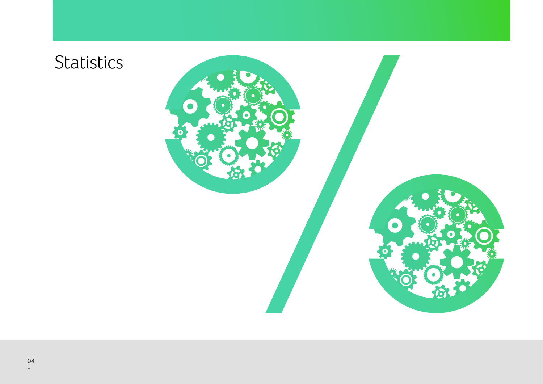Statistics

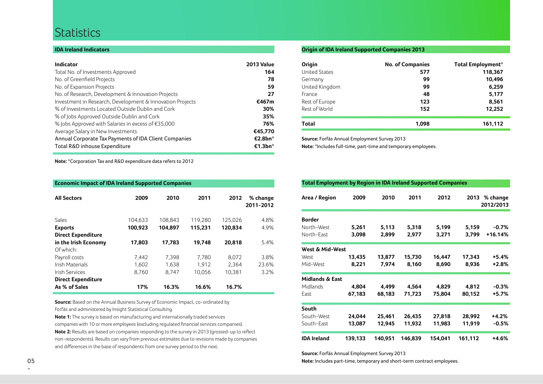## **Statistics**

#### **IDA Ireland Indicators**

| <b>Indicator</b>                                          | <b>2013 Value</b>   |
|-----------------------------------------------------------|---------------------|
| Total No. of Investments Approved                         | 164                 |
| No. of Greenfield Projects                                | 78                  |
| No. of Expansion Projects                                 | 59                  |
| No. of Research, Development & Innovation Projects        | 27                  |
| Investment in Research, Development & Innovation Projects | €467m               |
| % of Investments Located Outside Dublin and Cork          | 30%                 |
| % of Jobs Approved Outside Dublin and Cork                | 35%                 |
| % Jobs Approved with Salaries in excess of $£35,000$      | 76%                 |
| Average Salary in New Investments                         | €45,770             |
| Annual Corporate Tax Payments of IDA Client Companies     | €2.8bn <sup>*</sup> |
| Total R&D inhouse Expenditure                             | €1.3bn <sup>*</sup> |

### **Origin of IDA Ireland Supported Companies 2013**

| Origin               | <b>No. of Companies</b> | <b>Total Employment*</b> |
|----------------------|-------------------------|--------------------------|
| <b>United States</b> | 577                     | 118,367                  |
| Germany              | 99                      | 10,496                   |
| United Kingdom       | 99                      | 6,259                    |
| <b>France</b>        | 48                      | 5,177                    |
| Rest of Europe       | 123                     | 8,561                    |
| Rest of World        | 152                     | 12,252                   |
| Total                | 1,098                   | 161,112                  |

**Source:** Forfás Annual Employment Survey 2013

**Note:** \*Includes full-time, part-time and temporary employees.

**Note:** \*Corporation Tax and R&D expenditure data refers to 2012

| <b>Economic Impact of IDA Ireland Supported Companies</b> |         |         |         |                       |  |  |  |
|-----------------------------------------------------------|---------|---------|---------|-----------------------|--|--|--|
| 2009                                                      | 2010    | 2011    | 2012    | % change<br>2011-2012 |  |  |  |
| 104,633                                                   | 108,843 | 119,280 | 125,026 | 4.8%                  |  |  |  |
| 100,923                                                   | 104,897 | 115,231 | 120,834 | 4.9%                  |  |  |  |
|                                                           |         |         |         |                       |  |  |  |
| 17,803                                                    | 17.783  | 19.748  | 20.818  | 5.4%                  |  |  |  |
|                                                           |         |         |         |                       |  |  |  |
| 7,442                                                     | 7.398   | 7.780   | 8.072   | 3.8%                  |  |  |  |
| 1,602                                                     | 1.638   | 1.912   | 2.364   | 23.6%                 |  |  |  |
| 8,760                                                     | 8,747   | 10,056  | 10,381  | 3.2%                  |  |  |  |
|                                                           |         |         |         |                       |  |  |  |
| 17%                                                       | 16.3%   | 16.6%   | 16.7%   |                       |  |  |  |
|                                                           |         |         |         |                       |  |  |  |

**Source:** Based on the Annual Business Survey of Economic Impact, co-ordinated by Forfás and administered by Insight Statistical Consulting.

**Note 1:** The survey is based on manufacturing and internationally traded services companies with 10 or more employees (excluding regulated financial services companies). **Note 2:** Results are based on companies responding to the survey in 2013 (grossed-up to reflect non-respondents). Results can vary from previous estimates due to revisions made by companies and differences in the base of respondents from one survey period to the next.

#### **Total Employment by Region in IDA Ireland Supported Companies**

| Area / Region                                  | 2009             | 2010             | 2011             | 2012             |                  | 2013 % change<br>2012/2013 |
|------------------------------------------------|------------------|------------------|------------------|------------------|------------------|----------------------------|
| <b>Border</b><br>North-West<br>North-East      | 5,261<br>3,098   | 5,113<br>2,899   | 5,318<br>2,977   | 5,199<br>3,271   | 5,159<br>3,799   | $-0.7\%$<br>+16.14%        |
| West & Mid-West<br>West<br>Mid-West            | 13,435<br>8,221  | 13,877<br>7,974  | 15,730<br>8,160  | 16,447<br>8,690  | 17,343<br>8,936  | +5.4%<br>$+2.8%$           |
| <b>Midlands &amp; East</b><br>Midlands<br>East | 4,804<br>67,183  | 4,499<br>68,183  | 4,564<br>71,723  | 4,829<br>75,804  | 4,812<br>80,152  | $-0.3%$<br>+5.7%           |
| South<br>South-West<br>South-East              | 24,044<br>13,087 | 25,461<br>12,945 | 26,435<br>11,932 | 27,818<br>11,983 | 28,992<br>11,919 | +4.2%<br>$-0.5%$           |
| <b>IDA Ireland</b>                             | 139,133          | 140,951          | 146,839          | 154,041          | 161,112          | +4.6%                      |

**Source:** Forfás Annual Employment Survey 2013

**Note:** Includes part-time, temporary and short-term contract employees.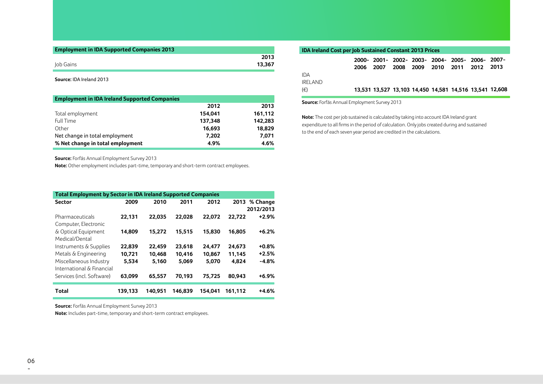| <b>Employment in IDA Supported Companies 2013</b> |        |
|---------------------------------------------------|--------|
|                                                   | 2013   |
| Iob Gains                                         | 13.367 |

**Source:** IDA Ireland 2013

| <b>Employment in IDA Ireland Supported Companies</b> |         |         |
|------------------------------------------------------|---------|---------|
|                                                      | 2012    | 2013    |
| Total employment                                     | 154.041 | 161,112 |
| <b>Full Time</b>                                     | 137.348 | 142,283 |
| Other                                                | 16.693  | 18,829  |
| Net change in total employment                       | 7.202   | 7.071   |
| % Net change in total employment                     | 4.9%    | 4.6%    |

**Source:** Forfás Annual Employment Survey 2013

**Note:** Other employment includes part-time, temporary and short-term contract employees.

| <b>Total Employment by Sector in IDA Ireland Supported Companies</b> |         |         |         |         |         |               |  |  |
|----------------------------------------------------------------------|---------|---------|---------|---------|---------|---------------|--|--|
| <b>Sector</b>                                                        | 2009    | 2010    | 2011    | 2012    |         | 2013 % Change |  |  |
|                                                                      |         |         |         |         |         | 2012/2013     |  |  |
| Pharmaceuticals                                                      | 22,131  | 22.035  | 22.028  | 22.072  | 22.722  | $+2.9%$       |  |  |
| Computer, Electronic                                                 |         |         |         |         |         |               |  |  |
| & Optical Equipment                                                  | 14.809  | 15.272  | 15.515  | 15.830  | 16.805  | $+6.2%$       |  |  |
| Medical/Dental                                                       |         |         |         |         |         |               |  |  |
| Instruments & Supplies                                               | 22,839  | 22,459  | 23,618  | 24,477  | 24.673  | $+0.8%$       |  |  |
| Metals & Engineering                                                 | 10,721  | 10.468  | 10.416  | 10.867  | 11.145  | $+2.5%$       |  |  |
| Miscellaneous Industry                                               | 5.534   | 5,160   | 5.069   | 5.070   | 4,824   | $-4.8%$       |  |  |
| International & Financial                                            |         |         |         |         |         |               |  |  |
| Services (incl. Software)                                            | 63,099  | 65,557  | 70.193  | 75.725  | 80.943  | $+6.9%$       |  |  |
| Total                                                                | 139.133 | 140.951 | 146.839 | 154.041 | 161.112 | $+4.6%$       |  |  |

**Source:** Forfás Annual Employment Survey 2013

**Note:** Includes part-time, temporary and short-term contract employees.

| <b>IDA Ireland Cost per Job Sustained Constant 2013 Prices</b> |      |                                                         |      |  |                          |  |
|----------------------------------------------------------------|------|---------------------------------------------------------|------|--|--------------------------|--|
|                                                                | 2006 | 2000- 2001- 2002- 2003- 2004- 2005- 2006- 2007-<br>2007 | 2008 |  | 2009 2010 2011 2012 2013 |  |
| IDA<br>IRELAND                                                 |      |                                                         |      |  |                          |  |
| (€)                                                            |      | 13,531 13,527 13,103 14,450 14,581 14,516 13,541 12,608 |      |  |                          |  |

**Source:** Forfás Annual Employment Survey 2013

**Note:** The cost per job sustained is calculated by taking into account IDA Ireland grant expenditure to all firms in the period of calculation. Only jobs created during and sustained to the end of each seven year period are credited in the calculations.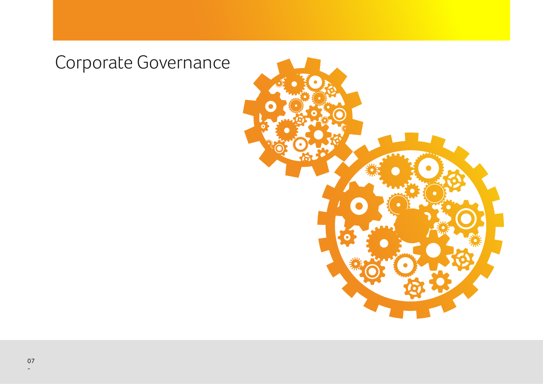# Corporate Governance

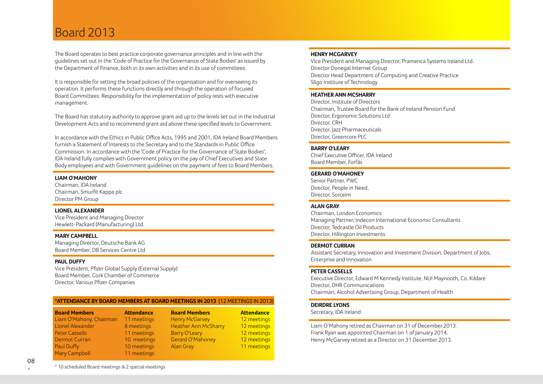## Board 2013

The Board operates to best practice corporate governance principles and in line with the guidelines set out in the 'Code of Practice for the Governance of State Bodies' as issued by the Department of Finance, both in its own activities and in its use of committees.

It is responsible for setting the broad policies of the organisation and for overseeing its operation. It performs these functions directly and through the operation of focused Board Committees. Responsibility for the implementation of policy rests with executive management.

The Board has statutory authority to approve grant aid up to the levels set out in the Industrial Development Acts and to recommend grant aid above these specified levels to Government.

In accordance with the Ethics in Public Office Acts, 1995 and 2001, IDA Ireland Board Members furnish a Statement of Interests to the Secretary and to the Standards in Public Office Commission. In accordance with the 'Code of Practice for the Governance of State Bodies', IDA Ireland fully complies with Government policy on the pay of Chief Executives and State Body employees and with Government guidelines on the payment of fees to Board Members.

#### **LIAM O'MAHONY**

Chairman, IDA Ireland Chairman, Smurfit Kappa plc Director PM Group

#### **LIONEL ALEXANDER**

Vice President and Managing Director Hewlett-Packard (Manufacturing) Ltd.

#### **MARY CAMPBELL**

Managing Director, Deutsche Bank AG Board Member, DB Services Centre Ltd

#### **PAUL DUFFY**

Vice President, Pfizer Global Supply (External Supply) Board Member, Cork Chamber of Commerce Director, Various Pfizer Companies

#### **\*ATTENDANCE BY BOARD MEMBERS AT BOARD MEETINGS IN 2013** (12 MEETINGS IN 2013)

| <b>Board Members</b>    | <b>Attendance</b> | <b>Board Members</b>        | <b>Attendance</b> |
|-------------------------|-------------------|-----------------------------|-------------------|
| Liam O'Mahony, Chairman | 11 meetings       | <b>Henry McGarvey</b>       | 12 meetings       |
| Lionel Alexander        | 8 meetings        | <b>Heather Ann McSharry</b> | 12 meetings       |
| <b>Peter Cassells</b>   | 11 meetings       | <b>Barry O'Leary</b>        | 12 meetings       |
| <b>Dermot Curran</b>    | 10 meetings       | Gerard O'Mahoney            | 12 meetings       |
| Paul Duffy              | 10 meetings       | Alan Gray                   | 11 meetings       |
| <b>Mary Campbell</b>    | 11 meetings       |                             |                   |

#### **HENRY MCGARVEY**

Vice President and Managing Director, Pramerica Systems Ireland Ltd. Director Donegal Internet Group Director Head Department of Computing and Creative Practice Sligo Institure of Technology

#### **HEATHER ANN MCSHARRY**

Director, Institute of Directors Chairman, Trustee Board for the Bank of Ireland Pension Fund Director, Ergonomic Solutions Ltd Director, CRH Director, Jazz Pharmaceuticals Director, Greencore PLC

#### **BARRY O'LEARY**

Chief Executive Officer, IDA Ireland Board Member, Forfás

#### **GERARD O'MAHONEY**

Senior Partner, PWC Director, People in Need, Director, Sorceim

#### **ALAN GRAY**

Chairman, London Economics Managing Partner, Indecon International Economic Consultants Director, Tedcastle Oil Products Director, Hillington Investments

#### **DERMOT CURRAN**

Assistant Secretary, Innovation and Investment Division, Department of Jobs, Enterprise and Innovation

#### **PETER CASSELLS**

Executive Director, Edward M Kennedy Institute, NUI Maynooth, Co. Kildare Director, DHR Communications Chairman, Alcohol Advertising Group, Department of Health

#### **DEIRDRE LYONS**

Secretary, IDA Ireland

Liam O'Mahony retired as Chairman on 31 of December 2013. Frank Ryan was appointed Chairman on 1 of January 2014. Henry McGarvey retired as a Director on 31 December 2013.

\* 10 scheduled Board meetings & 2 special meetings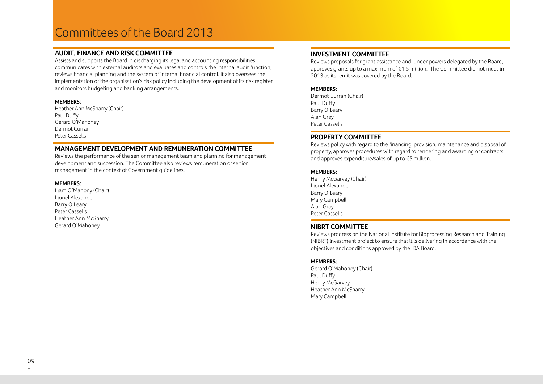## Committees of the Board 2013

#### **AUDIT, FINANCE AND RISK COMMITTEE**

Assists and supports the Board in discharging its legal and accounting responsibilities; communicates with external auditors and evaluates and controls the internal audit function; reviews financial planning and the system of internal financial control. It also oversees the implementation of the organisation's risk policy including the development of its risk register and monitors budgeting and banking arrangements.

#### **MEMBERS:**

Heather Ann McSharry (Chair) Paul Duffy Gerard O'Mahoney Dermot Curran Peter Cassells

#### **MANAGEMENT DEVELOPMENT AND REMUNERATION COMMITTEE**

Reviews the performance of the senior management team and planning for management development and succession. The Committee also reviews remuneration of senior management in the context of Government guidelines.

#### **MEMBERS:**

Liam O'Mahony (Chair) Lionel Alexander Barry O'Leary Peter Cassells Heather Ann McSharry Gerard O'Mahoney

### **INVESTMENT COMMITTEE**

Reviews proposals for grant assistance and, under powers delegated by the Board, approves grants up to a maximum of €1.5 million. The Committee did not meet in 2013 as its remit was covered by the Board.

#### **MEMBERS:**

Dermot Curran (Chair) Paul Duffy Barry O'Leary Alan Gray Peter Cassells

#### **PROPERTY COMMITTEE**

Reviews policy with regard to the financing, provision, maintenance and disposal of property, approves procedures with regard to tendering and awarding of contracts and approves expenditure/sales of up to €5 million.

#### **MEMBERS:**

Henry McGarvey (Chair) Lionel Alexander Barry O'Leary Mary Campbell Alan Gray Peter Cassells

#### **NIBRT COMMITTEE**

Reviews progress on the National Institute for Bioprocessing Research and Training (NIBRT) investment project to ensure that it is delivering in accordance with the objectives and conditions approved by the IDA Board.

#### **MEMBERS:**

Gerard O'Mahoney (Chair) Paul Duffy Henry McGarvey Heather Ann McSharry Mary Campbell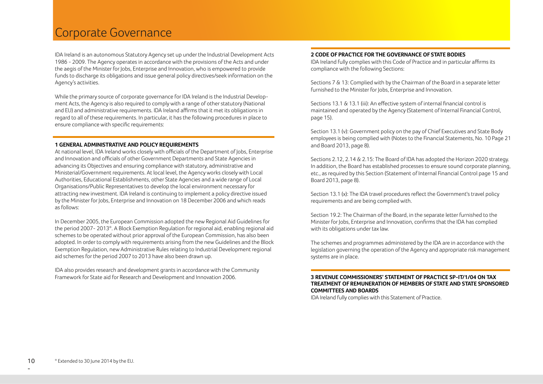## Corporate Governance

IDA Ireland is an autonomous Statutory Agency set up under the Industrial Development Acts 1986 - 2009. The Agency operates in accordance with the provisions of the Acts and under the aegis of the Minister for Jobs, Enterprise and Innovation, who is empowered to provide funds to discharge its obligations and issue general policy directives/seek information on the Agency's activities.

While the primary source of corporate governance for IDA Ireland is the Industrial Development Acts, the Agency is also required to comply with a range of other statutory (National and EU) and administrative requirements. IDA Ireland affirms that it met its obligations in regard to all of these requirements. In particular, it has the following procedures in place to ensure compliance with specific requirements:

#### **1 GENERAL ADMINISTRATIVE AND POLICY REQUIREMENTS**

At national level, IDA Ireland works closely with officials of the Department of Jobs, Enterprise and Innovation and officials of other Government Departments and State Agencies in advancing its Objectives and ensuring compliance with statutory, administrative and Ministerial/Government requirements. At local level, the Agency works closely with Local Authorities, Educational Establishments, other State Agencies and a wide range of Local Organisations/Public Representatives to develop the local environment necessary for attracting new investment. IDA Ireland is continuing to implement a policy directive issued by the Minister for Jobs, Enterprise and Innovation on 18 December 2006 and which reads as follows:

In December 2005, the European Commission adopted the new Regional Aid Guidelines for the period 2007- 2013\*. A Block Exemption Regulation for regional aid, enabling regional aid schemes to be operated without prior approval of the European Commission, has also been adopted. In order to comply with requirements arising from the new Guidelines and the Block Exemption Regulation, new Administrative Rules relating to Industrial Development regional aid schemes for the period 2007 to 2013 have also been drawn up.

IDA also provides research and development grants in accordance with the Community Framework for State aid for Research and Development and Innovation 2006.

#### **2 CODE OF PRACTICE FOR THE GOVERNANCE OF STATE BODIES**

IDA Ireland fully complies with this Code of Practice and in particular affirms its compliance with the following Sections:

Sections 7 & 13: Complied with by the Chairman of the Board in a separate letter furnished to the Minister for Jobs, Enterprise and Innovation.

Sections 13.1 & 13.1 (iii): An effective system of internal financial control is maintained and operated by the Agency (Statement of Internal Financial Control, page 15).

Section 13.1 (v): Government policy on the pay of Chief Executives and State Body employees is being complied with (Notes to the Financial Statements, No. 10 Page 21 and Board 2013, page 8).

Sections 2.12, 2.14 & 2.15: The Board of IDA has adopted the Horizon 2020 strategy. In addition, the Board has established processes to ensure sound corporate planning, etc., as required by this Section (Statement of Internal Financial Control page 15 and Board 2013, page 8).

Section 13.1 (x): The IDA travel procedures reflect the Government's travel policy requirements and are being complied with.

Section 19.2: The Chairman of the Board, in the separate letter furnished to the Minister for Jobs, Enterprise and Innovation, confirms that the IDA has complied with its obligations under tax law.

The schemes and programmes administered by the IDA are in accordance with the legislation governing the operation of the Agency and appropriate risk management systems are in place.

#### **3 REVENUE COMMISSIONERS' STATEMENT OF PRACTICE SP-IT/1/04 ON TAX TREATMENT OF REMUNERATION OF MEMBERS OF STATE AND STATE SPONSORED COMMITTEES AND BOARDS**

IDA Ireland fully complies with this Statement of Practice.

-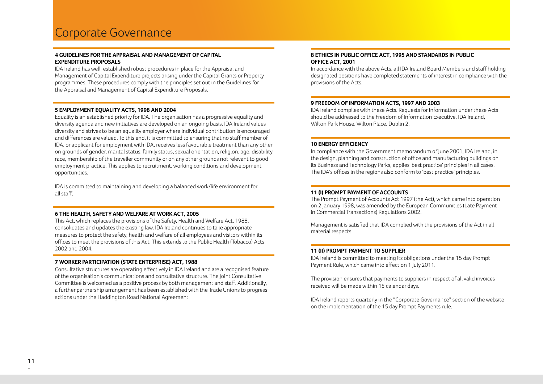#### **4 GUIDELINES FOR THE APPRAISAL AND MANAGEMENT OF CAPITAL EXPENDITURE PROPOSALS**

IDA Ireland has well-established robust procedures in place for the Appraisal and Management of Capital Expenditure projects arising under the Capital Grants or Property programmes. These procedures comply with the principles set out in the Guidelines for the Appraisal and Management of Capital Expenditure Proposals.

#### **5 EMPLOYMENT EQUALITY ACTS, 1998 AND 2004**

Equality is an established priority for IDA. The organisation has a progressive equality and diversity agenda and new initiatives are developed on an ongoing basis. IDA Ireland values diversity and strives to be an equality employer where individual contribution is encouraged and differences are valued. To this end, it is committed to ensuring that no staff member of IDA, or applicant for employment with IDA, receives less favourable treatment than any other on grounds of gender, marital status, family status, sexual orientation, religion, age, disability, race, membership of the traveller community or on any other grounds not relevant to good employment practice. This applies to recruitment, working conditions and development opportunities.

IDA is committed to maintaining and developing a balanced work/life environment for all staff.

#### **6 THE HEALTH, SAFETY AND WELFARE AT WORK ACT, 2005**

This Act, which replaces the provisions of the Safety, Health and Welfare Act, 1988, consolidates and updates the existing law. IDA Ireland continues to take appropriate measures to protect the safety, health and welfare of all employees and visitors within its offices to meet the provisions of this Act. This extends to the Public Health (Tobacco) Acts 2002 and 2004.

#### **7 WORKER PARTICIPATION (STATE ENTERPRISE) ACT, 1988**

Consultative structures are operating effectively in IDA Ireland and are a recognised feature of the organisation's communications and consultative structure. The Joint Consultative Committee is welcomed as a positive process by both management and staff. Additionally, a further partnership arrangement has been established with the Trade Unions to progress actions under the Haddington Road National Agreement.

#### **8 ETHICS IN PUBLIC OFFICE ACT, 1995 AND STANDARDS IN PUBLIC OFFICE ACT, 2001**

In accordance with the above Acts, all IDA Ireland Board Members and staff holding designated positions have completed statements of interest in compliance with the provisions of the Acts.

#### **9 FREEDOM OF INFORMATION ACTS, 1997 AND 2003**

IDA Ireland complies with these Acts. Requests for information under these Acts should be addressed to the Freedom of Information Executive, IDA Ireland, Wilton Park House, Wilton Place, Dublin 2.

#### **10 ENERGY EFFICIENCY**

In compliance with the Government memorandum of June 2001, IDA Ireland, in the design, planning and construction of office and manufacturing buildings on its Business and Technology Parks, applies 'best practice' principles in all cases. The IDA's offices in the regions also conform to 'best practice' principles.

#### **11 (I) PROMPT PAYMENT OF ACCOUNTS**

The Prompt Payment of Accounts Act 1997 (the Act), which came into operation on 2 January 1998, was amended by the European Communities (Late Payment in Commercial Transactions) Regulations 2002.

Management is satisfied that IDA complied with the provisions of the Act in all material respects.

#### **11 (II) PROMPT PAYMENT TO SUPPLIER**

IDA Ireland is committed to meeting its obligations under the 15 day Prompt Payment Rule, which came into effect on 1 July 2011.

The provision ensures that payments to suppliers in respect of all valid invoices received will be made within 15 calendar days.

IDA Ireland reports quarterly in the "Corporate Governance" section of the website on the implementation of the 15 day Prompt Payments rule.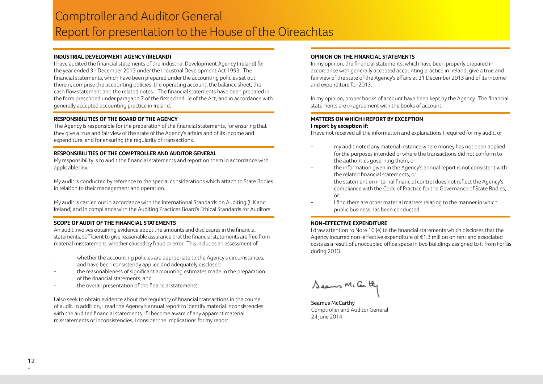## Comptroller and Auditor General Report for presentation to the House of the Oireachtas

#### **INDUSTRIAL DEVELOPMENT AGENCY (IRELAND)**

I have audited the financial statements of the Industrial Development Agency (Ireland) for the year ended 31 December 2013 under the Industrial Development Act 1993. The financial statements, which have been prepared under the accounting policies set out therein, comprise the accounting policies, the operating account, the balance sheet, the cash flow statement and the related notes. The financial statements have been prepared in the form prescribed under paragaph 7 of the first schedule of the Act, and in accordance with generally accepted accounting practice in Ireland.

#### **RESPONSIBILITIES OF THE BOARD OF THE AGENCY**

The Agency is responsible for the preparation of the financial statements, for ensuring that they give a true and fair view of the state of the Agency's affairs and of its income and expenditure, and for ensuring the regularity of transactions.

#### **RESPONSIBILITIES OF THE COMPTROLLER AND AUDITOR GENERAL**

My responsibility is to audit the financial statements and report on them in accordance with applicable law.

My audit is conducted by reference to the special considerations which attach to State Bodies in relation to their management and operation.

My audit is carried out in accordance with the International Standards on Auditing (UK and Ireland) and in compliance with the Auditing Practices Board's Ethical Standards for Auditors.

#### **SCOPE OF AUDIT OF THE FINANCIAL STATEMENTS**

An audit involves obtaining evidence about the amounts and disclosures in the financial statements, sufficient to give reasonable assurance that the financial statements are free from material misstatement, whether caused by fraud or error. This includes an assessment of

- whether the accounting policies are appropriate to the Agency's circumstances, and have been consistently applied and adequately disclosed
- the reasonableness of significant accounting estimates made in the preparation of the financial statements, and
- the overall presentation of the financial statements.

I also seek to obtain evidence about the regularity of financial transactions in the course of audit. In addition, I read the Agency's annual report to identify material inconsistencies with the audited financial statements. If I become aware of any apparent material misstatements or inconsistencies, I consider the implications for my report.

#### **OPINION ON THE FINANCIAL STATEMENTS**

In my opinion, the financial statements, which have been properly prepared in accordance with generally accepted accounting practice in Ireland, give a true and fair view of the state of the Agency's affairs at 31 December 2013 and of its income and expenditure for 2013.

In my opinion, proper books of account have been kept by the Agency. The financial statements are in agreement with the books of account.

#### **MATTERS ON WHICH I REPORT BY EXCEPTION I report by exception if:**

I have not received all the information and explanations I required for my audit, or

- my audit noted any material instance where money has not been applied for the purposes intended or where the transactions did not conform to the authorities governing them, or
- the information given in the Agency's annual report is not consistent with the related financial statements, or
- the statement on internal financial control does not reflect the Agency's compliance with the Code of Practice for the Governance of State Bodies, or
- I find there are other material matters relating to the manner in which public business has been conducted.

#### **NON-EFFECTIVE EXPENDITURE**

I draw attention to Note 10 (e) to the financial statements which discloses that the Agency incurred non-effective expenditure of €1.3 million on rent and associated costs as a result of unoccupied office space in two buildings assigned to it from Forfás during 2013.

Seaus Mc Con they

Seamus McCarthy Comptroller and Auditor General 24 June 2014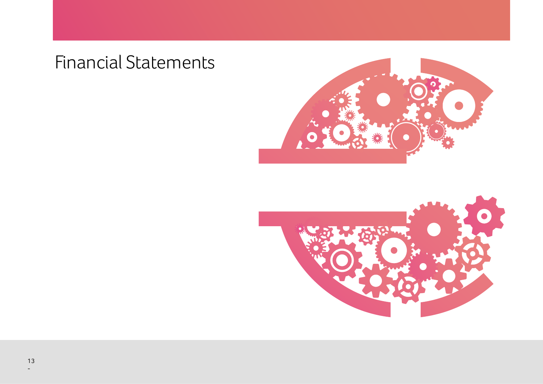# Financial Statements









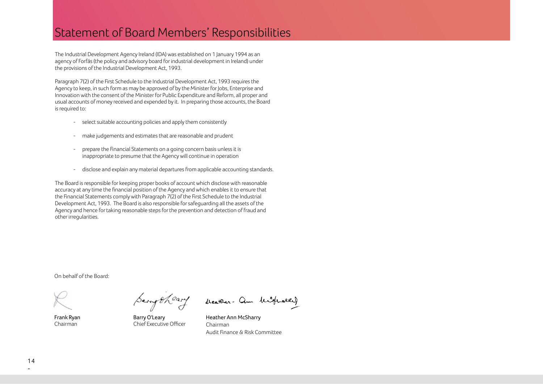## Statement of Board Members' Responsibilities

The Industrial Development Agency Ireland (IDA) was established on 1 January 1994 as an agency of Forfás (the policy and advisory board for industrial development in Ireland) under the provisions of the Industrial Development Act, 1993.

Paragraph 7(2) of the First Schedule to the Industrial Development Act, 1993 requires the Agency to keep, in such form as may be approved of by the Minister for Jobs, Enterprise and Innovation with the consent of the Minister for Public Expenditure and Reform, all proper and usual accounts of money received and expended by it. In preparing those accounts, the Board is required to:

- select suitable accounting policies and apply them consistently
- make judgements and estimates that are reasonable and prudent
- prepare the Financial Statements on a going concern basis unless it is inappropriate to presume that the Agency will continue in operation
- disclose and explain any material departures from applicable accounting standards.

The Board is responsible for keeping proper books of account which disclose with reasonable accuracy at any time the financial position of the Agency and which enables it to ensure that the Financial Statements comply with Paragraph 7(2) of the First Schedule to the Industrial Development Act, 1993. The Board is also responsible for safeguarding all the assets of the Agency and hence for taking reasonable steps for the prevention and detection of fraud and other irregularities.

On behalf of the Board:

Frank Ryan Chairman

Sampheary

Barry O'Leary Chief Executive Officer

beather. am highward

Heather Ann McSharry Chairman Audit Finance & Risk Committee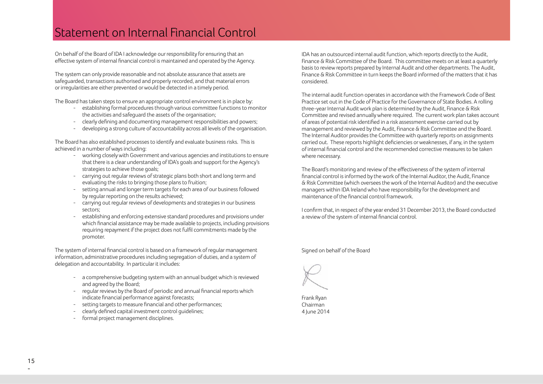## Statement on Internal Financial Control

On behalf of the Board of IDA I acknowledge our responsibility for ensuring that an effective system of internal financial control is maintained and operated by the Agency.

The system can only provide reasonable and not absolute assurance that assets are safeguarded, transactions authorised and properly recorded, and that material errors or irregularities are either prevented or would be detected in a timely period.

The Board has taken steps to ensure an appropriate control environment is in place by:

- establishing formal procedures through various committee functions to monitor the activities and safeguard the assets of the organisation;
- clearly defining and documenting management responsibilities and powers;
- developing a strong culture of accountability across all levels of the organisation.

The Board has also established processes to identify and evaluate business risks. This is achieved in a number of ways including:

- working closely with Government and various agencies and institutions to ensure that there is a clear understanding of IDA's goals and support for the Agency's strategies to achieve those goals;
- carrying out regular reviews of strategic plans both short and long term and evaluating the risks to bringing those plans to fruition;
- setting annual and longer term targets for each area of our business followed by regular reporting on the results achieved;
- carrying out regular reviews of developments and strategies in our business sectors;
- establishing and enforcing extensive standard procedures and provisions under which financial assistance may be made available to projects, including provisions requiring repayment if the project does not fulfil commitments made by the promoter.

The system of internal financial control is based on a framework of regular management information, administrative procedures including segregation of duties, and a system of delegation and accountability. In particular it includes:

- a comprehensive budgeting system with an annual budget which is reviewed and agreed by the Board;
- regular reviews by the Board of periodic and annual financial reports which indicate financial performance against forecasts;
- setting targets to measure financial and other performances;
- clearly defined capital investment control guidelines;
- formal project management disciplines.

IDA has an outsourced internal audit function, which reports directly to the Audit, Finance & Risk Committee of the Board. This committee meets on at least a quarterly basis to review reports prepared by Internal Audit and other departments. The Audit, Finance & Risk Committee in turn keeps the Board informed of the matters that it has considered.

The internal audit function operates in accordance with the Framework Code of Best Practice set out in the Code of Practice for the Governance of State Bodies. A rolling three-year Internal Audit work plan is determined by the Audit, Finance & Risk Committee and revised annually where required. The current work plan takes account of areas of potential risk identified in a risk assessment exercise carried out by management and reviewed by the Audit, Finance & Risk Committee and the Board. The Internal Auditor provides the Committee with quarterly reports on assignments carried out. These reports highlight deficiencies or weaknesses, if any, in the system of internal financial control and the recommended corrective measures to be taken where necessary.

The Board's monitoring and review of the effectiveness of the system of internal financial control is informed by the work of the Internal Auditor, the Audit, Finance & Risk Committee (which oversees the work of the Internal Auditor) and the executive managers within IDA Ireland who have responsibility for the development and maintenance of the financial control framework.

I confirm that, in respect of the year ended 31 December 2013, the Board conducted a review of the system of internal financial control.

Signed on behalf of the Board



Frank Ryan Chairman 4 June 2014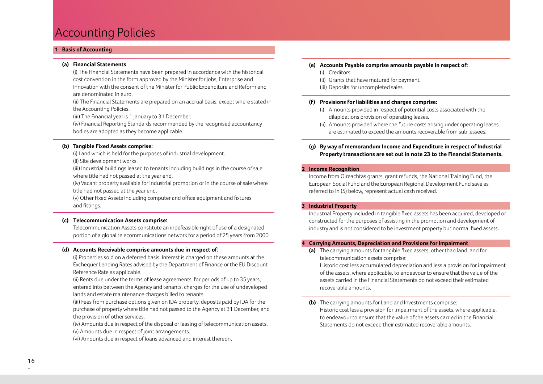## Accounting Policies

#### **1 Basis of Accounting**

#### **(a) Financial Statements**

 (i) The Financial Statements have been prepared in accordance with the historical cost convention in the form approved by the Minister for Jobs, Enterprise and Innovation with the consent of the Minister for Public Expenditure and Reform and are denominated in euro.

 (ii) The Financial Statements are prepared on an accrual basis, except where stated in the Accounting Policies.

(iii) The Financial year is 1 January to 31 December.

 (iv) Financial Reporting Standards recommended by the recognised accountancy bodies are adopted as they become applicable.

#### **(b) Tangible Fixed Assets comprise:**

(i) Land which is held for the purposes of industrial development.

(ii) Site development works.

 (iii) Industrial buildings leased to tenants including buildings in the course of sale where title had not passed at the year end.

 (iv) Vacant property available for industrial promotion or in the course of sale where title had not passed at the year end.

 (v) Other Fixed Assets including computer and office equipment and fixtures and fittings.

#### **(c) Telecommunication Assets comprise:**

 Telecommunication Assets constitute an indefeasible right of use of a designated portion of a global telecommunications network for a period of 25 years from 2000.

#### **(d) Accounts Receivable comprise amounts due in respect of:**

 (i) Properties sold on a deferred basis. Interest is charged on these amounts at the Exchequer Lending Rates advised by the Department of Finance or the EU Discount Reference Rate as applicable.

 (ii) Rents due under the terms of lease agreements, for periods of up to 35 years, entered into between the Agency and tenants, charges for the use of undeveloped lands and estate maintenance charges billed to tenants.

 (iii) Fees from purchase options given on IDA property, deposits paid by IDA for the purchase of property where title had not passed to the Agency at 31 December, and the provision of other services.

 (iv) Amounts due in respect of the disposal or leasing of telecommunication assets. (v) Amounts due in respect of joint arrangements.

(vi) Amounts due in respect of loans advanced and interest thereon.

#### **(e) Accounts Payable comprise amounts payable in respect of:**

- (i) Creditors.
- (ii) Grants that have matured for payment.
- (iii) Deposits for uncompleted sales

#### **(f) Provisions for liabilities and charges comprise:**

- (i) Amounts provided in respect of potential costs associated with the dilapidations provision of operating leases.
- (ii) Amounts provided where the future costs arising under operating leases are estimated to exceed the amounts recoverable from sub lessees.

#### **(g) By way of memorandum Income and Expenditure in respect of Industrial Property transactions are set out in note 23 to the Financial Statements.**

#### **2 Income Recognition**

 Income from Oireachtas grants, grant refunds, the National Training Fund, the European Social Fund and the European Regional Development Fund save as referred to in (5) below, represent actual cash received.

#### **3 Industrial Property**

 Industrial Property included in tangible fixed assets has been acquired, developed or constructed for the purposes of assisting in the promotion and development of industry and is not considered to be investment property but normal fixed assets.

#### **4 Carrying Amounts, Depreciation and Provisions for Impairment**

**(a)** The carrying amounts for tangible fixed assets, other than land, and for telecommunication assets comprise:

 Historic cost less accumulated depreciation and less a provision for impairment of the assets, where applicable, to endeavour to ensure that the value of the assets carried in the Financial Statements do not exceed their estimated recoverable amounts.

**(b)** The carrying amounts for Land and Investments comprise: Historic cost less a provision for impairment of the assets, where applicable, to endeavour to ensure that the value of the assets carried in the Financial Statements do not exceed their estimated recoverable amounts.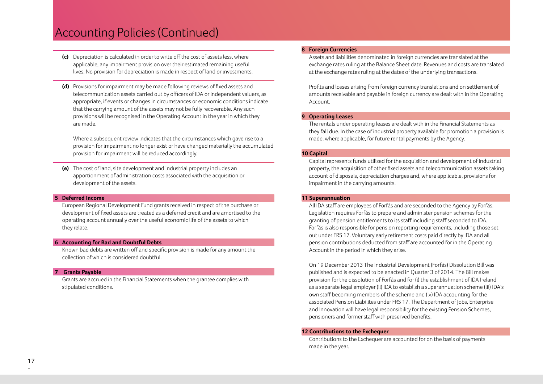- **(c)** Depreciation is calculated in order to write off the cost of assets less, where applicable, any impairment provision over their estimated remaining useful lives. No provision for depreciation is made in respect of land or investments.
- **(d)** Provisions for impairment may be made following reviews of fixed assets and telecommunication assets carried out by officers of IDA or independent valuers, as appropriate, if events or changes in circumstances or economic conditions indicate that the carrying amount of the assets may not be fully recoverable. Any such provisions will be recognised in the Operating Account in the year in which they are made.

 Where a subsequent review indicates that the circumstances which gave rise to a provision for impairment no longer exist or have changed materially the accumulated provision for impairment will be reduced accordingly.

 **(e)** The cost of land, site development and industrial property includes an apportionment of administration costs associated with the acquisition or development of the assets.

#### **5 Deferred Income**

 European Regional Development Fund grants received in respect of the purchase or development of fixed assets are treated as a deferred credit and are amortised to the operating account annually over the useful economic life of the assets to which they relate.

#### **6 Accounting for Bad and Doubtful Debts**

 Known bad debts are written off and specific provision is made for any amount the collection of which is considered doubtful.

#### **7 Grants Payable**

 Grants are accrued in the Financial Statements when the grantee complies with stipulated conditions.

#### **8 Foreign Currencies**

 Assets and liabilities denominated in foreign currencies are translated at the exchange rates ruling at the Balance Sheet date. Revenues and costs are translated at the exchange rates ruling at the dates of the underlying transactions.

 Profits and losses arising from foreign currency translations and on settlement of amounts receivable and payable in foreign currency are dealt with in the Operating Account.

#### **9 Operating Leases**

 The rentals under operating leases are dealt with in the Financial Statements as they fall due. In the case of industrial property available for promotion a provision is made, where applicable, for future rental payments by the Agency.

#### **10 Capital**

 Capital represents funds utilised for the acquisition and development of industrial property, the acquisition of other fixed assets and telecommunication assets taking account of disposals, depreciation charges and, where applicable, provisions for impairment in the carrying amounts.

#### **11 Superannuation**

 All IDA staff are employees of Forfás and are seconded to the Agency by Forfás. Legislation requires Forfás to prepare and administer pension schemes for the granting of pension entitlements to its staff including staff seconded to IDA. Forfás is also responsible for pension reporting requirements, including those set out under FRS 17. Voluntary early retirement costs paid directly by IDA and all pension contributions deducted from staff are accounted for in the Operating Account in the period in which they arise.

 On 19 December 2013 The Industrial Development (Forfás) Dissolution Bill was published and is expected to be enacted in Quarter 3 of 2014. The Bill makes provision for the dissolution of Forfás and for (i) the establishment of IDA Ireland as a separate legal employer (ii) IDA to establish a superannuation scheme (iii) IDA's own staff becoming members of the scheme and (iv) IDA accounting for the associated Pension Liabilites under FRS 17. The Department of Jobs, Enterprise and Innovation will have legal responsibility for the existing Pension Schemes, pensioners and former staff with preserved benefits.

#### **12 Contributions to the Exchequer**

 Contributions to the Exchequer are accounted for on the basis of payments made in the year.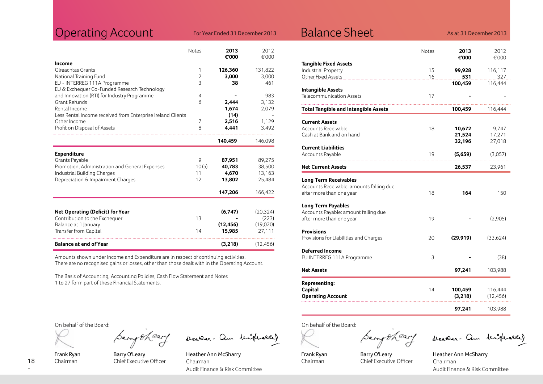## Operating Account For Year Ended 31 December 2013 Balance Sheet

|  |  |  | For Year Ended 31 December 2013 |  |
|--|--|--|---------------------------------|--|
|--|--|--|---------------------------------|--|

As at 31 December 2013

|                                                             | Notes          | 2013<br>€'000 | 2012<br>€'000 |
|-------------------------------------------------------------|----------------|---------------|---------------|
| Income                                                      |                |               |               |
| Oireachtas Grants                                           | 1              | 126,360       | 131,822       |
| National Training Fund                                      | $\overline{2}$ | 3,000         | 3,000         |
| EU - INTERREG 111A Programme                                | 3              | 38            | 461           |
| EU & Exchequer Co-Funded Research Technology                |                |               |               |
| and Innovation (RTI) for Industry Programme                 | $\overline{4}$ |               | 983           |
| Grant Refunds                                               | 6              | 2,444         | 3,132         |
| Rental Income                                               |                | 1,674         | 2,079         |
| Less Rental Income received from Enterprise Ireland Clients |                | (14)          |               |
| Other Income                                                | 7              | 2,516         | 1,129         |
| Profit on Disposal of Assets                                | 8              | 4,441         | 3,492         |
|                                                             |                | 140,459       | 146,098       |
| <b>Expenditure</b>                                          |                |               |               |
| Grants Payable                                              | 9              | 87,951        | 89,275        |
| Promotion, Administration and General Expenses              | 10(a)          | 40,783        | 38,500        |
| Industrial Building Charges                                 | 11             | 4,670         | 13,163        |
| Depreciation & Impairment Charges                           | 12             | 13,802        | 25,484        |
|                                                             |                | 147,206       | 166,422       |
|                                                             |                |               |               |
| <b>Net Operating (Deficit) for Year</b>                     |                | (6,747)       | (20, 324)     |
| Contribution to the Exchequer                               | 13             |               | (223)         |
| Balance at 1 January                                        |                | (12, 456)     | (19,020)      |
| Transfer from Capital                                       | 14             | 15,985        | 27,111        |
| <b>Balance at end of Year</b>                               |                | (3,218)       | (12, 456)     |

Amounts shown under Income and Expenditure are in respect of continuing activities. There are no recognised gains or losses, other than those dealt with in the Operating Account.

The Basis of Accounting, Accounting Policies, Cash Flow Statement and Notes 1 to 27 form part of these Financial Statements.

On behalf of the Board:

Frank Ryan Chairman

Barry O'Leary Chief Executive Officer

Serry theary weaker. am histrary

Heather Ann McSharry Chairman Audit Finance & Risk Committee

|                                             | Notes | 2013<br>€'000 | 2012<br>€'000 |
|---------------------------------------------|-------|---------------|---------------|
| <b>Tangible Fixed Assets</b>                |       |               |               |
| <b>Industrial Property</b>                  | 15    | 99,928        | 116,117       |
| Other Fixed Assets                          | 16    | 531           | 327           |
|                                             |       | 100,459       | 116,444       |
| <b>Intangible Assets</b>                    | 17    |               |               |
| Telecommunication Assets                    |       |               |               |
| <b>Total Tangible and Intangible Assets</b> |       | 100,459       | 116,444       |
| Current Assets                              |       |               |               |
| Accounts Receivable                         | 18    | 10,672        | 9,747         |
| Cash at Bank and on hand                    |       | 21,524        | 17,271        |
|                                             |       | 32,196        | 27,018        |
| Current Liabilities<br>Accounts Payable     | 19    | (5,659)       | (3,057)       |
|                                             |       |               |               |
| <b>Net Current Assets</b>                   |       | 26,537        | 23,961        |
| <b>Long Term Receivables</b>                |       |               |               |
| Accounts Receivable: amounts falling due    |       |               |               |
| after more than one year                    | 18    | 164           | 150           |
| Long Term Payables                          |       |               |               |
| Accounts Payable: amount falling due        |       |               |               |
| after more than one year                    | 19    |               | (2,905)       |
| Provisions                                  |       |               |               |
| Provisions for Liabilities and Charges      | 20    | (29, 919)     | (33, 624)     |
|                                             |       |               |               |
| <b>Deferred Income</b>                      |       |               |               |
| EU INTERREG 111A Programme                  | 3     |               | (38)          |
| Net Assets                                  |       | 97,241        | 103,988       |
| Representing:                               |       |               |               |
| Capital                                     | 14    | 100,459       | 116,444       |
| <b>Operating Account</b>                    |       | (3, 218)      | (12, 456)     |
|                                             |       |               |               |
|                                             |       | 97,241        | 103,988       |
|                                             |       |               |               |

On behalf of the Board:

Frank Ryan Chairman

Barry O'Leary Chief Executive Officer

Serry theary weaker. am histrarkel

Heather Ann McSharry Chairman Audit Finance & Risk Committee

18 -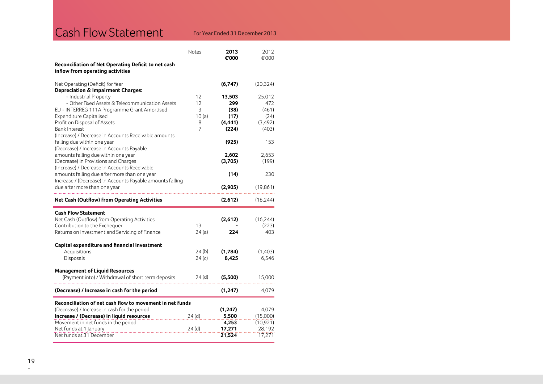## Cash Flow Statement For Year Ended 31 December 2013

|                                                                                             | Notes      | 2013<br>€'000    | 2012<br>€'000    |
|---------------------------------------------------------------------------------------------|------------|------------------|------------------|
| Reconciliation of Net Operating Deficit to net cash<br>inflow from operating activities     |            |                  |                  |
| Net Operating (Deficit) for Year<br><b>Depreciation &amp; Impairment Charges:</b>           |            | (6,747)          | (20, 324)        |
| - Industrial Property                                                                       | 12         | 13,503           | 25,012           |
| - Other Fixed Assets & Telecommunication Assets                                             | 12         | 299              | 472              |
| EU - INTERREG 111A Programme Grant Amortised<br><b>Expenditure Capitalised</b>              | 3<br>10(a) | (38)<br>(17)     | (461)<br>(24)    |
| Profit on Disposal of Assets                                                                | 8          | (4, 441)         | (3, 492)         |
| <b>Bank Interest</b>                                                                        | 7          | (224)            | (403)            |
| (Increase) / Decrease in Accounts Receivable amounts                                        |            |                  |                  |
| falling due within one year                                                                 |            | (925)            | 153              |
| (Decrease) / Increase in Accounts Payable<br>amounts falling due within one year            |            | 2,602            | 2,653            |
| (Decrease) in Provisions and Charges                                                        |            | (3,705)          | (199)            |
| (Increase) / Decrease in Accounts Receivable                                                |            |                  |                  |
| amounts falling due after more than one year                                                |            | (14)             | 230              |
| Increase / (Decrease) in Accounts Payable amounts falling<br>due after more than one year   |            | (2,905)          | (19, 861)        |
| <b>Net Cash (Outflow) from Operating Activities</b>                                         |            | (2,612)          | (16, 244)        |
| <b>Cash Flow Statement</b>                                                                  |            |                  |                  |
| Net Cash (Outflow) from Operating Activities                                                |            | (2,612)          | (16, 244)        |
| Contribution to the Exchequer                                                               | 13         |                  | (223)            |
|                                                                                             |            |                  |                  |
| Returns on Investment and Servicing of Finance                                              | 24(a)      | 224              | 403              |
| Capital expenditure and financial investment                                                |            |                  |                  |
| Acquisitions                                                                                | 24(b)      | (1,784)          | (1,403)          |
| Disposals                                                                                   | 24(c)      | 8,425            | 6,546            |
|                                                                                             |            |                  |                  |
| <b>Management of Liquid Resources</b><br>(Payment into) / Withdrawal of short term deposits | 24(d)      | (5,500)          | 15,000           |
| (Decrease) / Increase in cash for the period                                                |            | (1, 247)         | 4,079            |
| Reconciliation of net cash flow to movement in net funds                                    |            |                  |                  |
| (Decrease) / Increase in cash for the period                                                |            | (1, 247)         | 4,079            |
| Increase / (Decrease) in liquid resources                                                   | 24(d)      | 5,500            | (15,000)         |
| Movement in net funds in the period                                                         |            | 4,253            | (10, 921)        |
| Net funds at 1 January<br>Net funds at 31 December                                          | 24(d)      | 17,271<br>21,524 | 28,192<br>17,271 |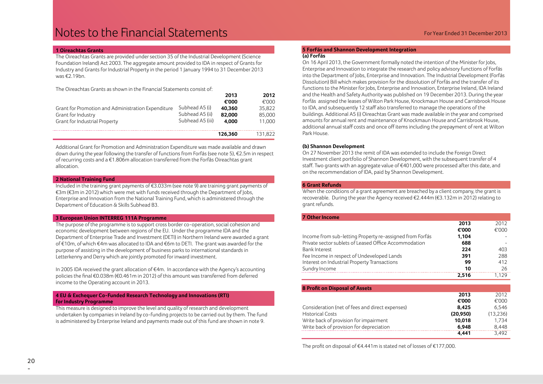#### **1 Oireachtas Grants**

The Oireachtas Grants are provided under section 35 of the Industrial Development (Science Foundation Ireland) Act 2003. The aggregate amount provided to IDA in respect of Grants for Industry and Grants for Industrial Property in the period 1 January 1994 to 31 December 2013 was €2.19bn.

The Oireachtas Grants as shown in the Financial Statements consist of:

|                                                    |                  | 2013    | 2012    |
|----------------------------------------------------|------------------|---------|---------|
|                                                    |                  | €'000   | €'000   |
| Grant for Promotion and Administration Expenditure | Subhead A5 (i)   | 40.360  | 35.822  |
| Grant for Industry                                 | Subhead A5 (ii)  | 82.000  | 85,000  |
| Grant for Industrial Property                      | Subhead A5 (iii) | 4.000   | 11.000  |
|                                                    |                  | 126.360 | 131.822 |

Additional Grant for Promotion and Administration Expenditure was made available and drawn down during the year following the transfer of functions from Forfás (see note 5), €2.5m in respect of recurring costs and a €1.806m allocation transferred from the Forfás Oireachtas grant allocation.

#### **2 National Training Fund**

Included in the training grant payments of €3.033m (see note 9) are training grant payments of €3m (€3m in 2012) which were met with funds received through the Department of Jobs, Enterprise and Innovation from the National Training Fund, which is administered through the Department of Education & Skills Subhead B3.

#### **3 European Union INTERREG 111A Programme**

The purpose of the programme is to support cross border co-operation, social cohesion and economic development between regions of the EU. Under the programme IDA and the Department of Enterprise Trade and Investment (DETI) in Northern Ireland were awarded a grant of €10m, of which €4m was allocated to IDA and €6m to DETI. The grant was awarded for the purpose of assisting in the development of business parks to international standards in Letterkenny and Derry which are jointly promoted for inward investment.

In 2005 IDA received the grant allocation of €4m. In accordance with the Agency's accounting policies the final €0.038m (€0.461m in 2012) of this amount was transferred from deferred income to the Operating account in 2013.

#### **4 EU & Exchequer Co-Funded Research Technology and Innovations (RTI) for Industry Programme**

This measure is designed to improve the level and quality of research and development undertaken by companies in Ireland by co-funding projects to be carried out by them. The fund is administered by Enterprise Ireland and payments made out of this fund are shown in note 9.

#### **5 ForFás and Shannon Development Integration (a) Forfás**

On 16 April 2013, the Government formally noted the intention of the Minister for Jobs, Enterprise and Innovation to integrate the research and policy advisory functions of Forfás into the Department of Jobs, Enterprise and Innovation. The Industrial Development (Forfás Dissolution) Bill which makes provision for the dissolution of Forfás and the transfer of its functions to the Minister for Jobs, Enterprise and Innovation, Enterprise Ireland, IDA Ireland and the Health and Safety Authority was published on 19 December 2013. During the year Forfás assigned the leases of Wilton Park House, Knockmaun House and Carrisbrook House to IDA, and subsequently 12 staff also transferred to manage the operations of the buildings. Additional A5 (i) Oireachtas Grant was made available in the year and comprised amounts for annual rent and maintenance of Knockmaun House and Carrisbrook House, additional annual staff costs and once off items including the prepayment of rent at Wilton Park House.

#### **(b) Shannon Development**

On 27 November 2013 the remit of IDA was extended to include the Foreign Direct Investment client portfolio of Shannon Development, with the subsequent transfer of 4 staff. Two grants with an aggregate value of  $\epsilon$ 401,000 were processed after this date, and on the recommendation of IDA, paid by Shannon Development.

#### **6 Grant Refunds**

When the conditions of a grant agreement are breached by a client company, the grant is recoverable. During the year the Agency received €2.444m (€3.132m in 2012) relating to grant refunds.

| <b>7 Other Income</b>                                    |       |       |
|----------------------------------------------------------|-------|-------|
|                                                          | 2013  | 2012  |
|                                                          | €'000 | €'000 |
| Income from sub-letting Property re-assigned from Forfás | 1.104 |       |
| Private sector sublets of Leased Office Accommodation    | 688   |       |
| <b>Bank Interest</b>                                     | 224   | 403   |
| Fee Income in respect of Undeveloped Lands               | 391   | 288   |
| Interest on Industrial Property Transactions             | 99    | 412   |
| Sundry Income                                            | 10    | 26    |
|                                                          | 2.516 | 1.129 |

| <b>8 Profit on Disposal of Assets</b>           |           |           |
|-------------------------------------------------|-----------|-----------|
|                                                 | 2013      | 2012      |
|                                                 | €'000     | €'000     |
| Consideration (net of fees and direct expenses) | 8.425     | 6.546     |
| <b>Historical Costs</b>                         | (20, 950) | (13, 236) |
| Write back of provision for impairment          | 10.018    | 1.734     |
| Write back of provision for depreciation        | 6.948     | 8.448     |
|                                                 | 4.441     | 3.492     |

The profit on disposal of €4.441m is stated net of losses of €177,000.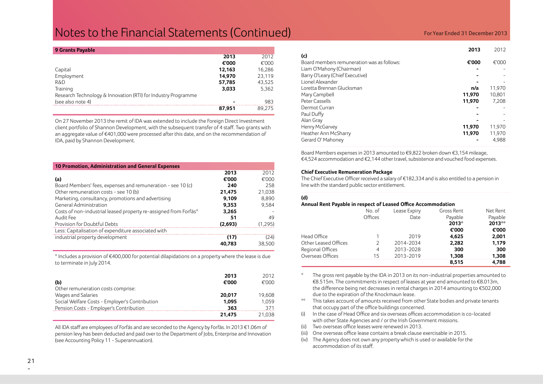## **Notes to the Financial Statements (Continued)** For Year Ended 31 December 2013

| 9 Grants Payable                                              |        |        |
|---------------------------------------------------------------|--------|--------|
|                                                               | 2013   | 2012   |
|                                                               | €'000  | €'000  |
| Capital                                                       | 12,163 | 16,286 |
| Employment                                                    | 14.970 | 23.119 |
| <b>R&amp;D</b>                                                | 57,785 | 43,525 |
| Training                                                      | 3,033  | 5,362  |
| Research Technology & Innovation (RTI) for Industry Programme |        |        |
| (see also note 4)                                             |        | 983    |
|                                                               | 87,951 | 89.275 |

On 27 November 2013 the remit of IDA was extended to include the Foreign Direct Investment client portfolio of Shannon Development, with the subsequent transfer of 4 staff. Two grants with an aggregate value of €401,000 were processed after this date, and on the recommendation of IDA, paid by Shannon Development.

| <b>10 Promotion, Administration and General Expenses</b>         |         |          |
|------------------------------------------------------------------|---------|----------|
|                                                                  | 2013    | 2012     |
| (a)                                                              | €'000   | €'000    |
| Board Members' fees, expenses and remuneration - see 10 (c)      | 240     | 258      |
| Other remuneration costs - see 10 (b)                            | 21,475  | 21,038   |
| Marketing, consultancy, promotions and advertising               | 9.109   | 8.890    |
| General Administration                                           | 9,353   | 9,584    |
| Costs of non-industrial leased property re-assigned from Forfás* | 3,265   |          |
| Audit Fee                                                        | 51      | 49       |
| Provision for Doubtful Debts                                     | (2,693) | (1, 295) |
| Less: Capitalisation of expenditure associated with              |         |          |
| industrial property development                                  | (17)    | (24)     |
|                                                                  | 40.783  | 38,500   |

\* Includes a provision of €400,000 for potential dilapidations on a property where the lease is due to terminate in July 2014.

| (b)                                            | 2013<br>€'000 | 2012<br>€'000 |
|------------------------------------------------|---------------|---------------|
| Other remuneration costs comprise:             |               |               |
| Wages and Salaries                             | 20,017        | 19,608        |
| Social Welfare Costs - Employer's Contribution | 1.095         | 1.059         |
| Pension Costs - Employer's Contribution        | 363           | 371           |
|                                                | 21.475        | 21,038        |

All IDA staff are employees of Forfás and are seconded to the Agency by Forfás. In 2013 €1.06m of pension levy has been deducted and paid over to the Department of Jobs, Enterprise and Innovation (see Accounting Policy 11 - Superannuation).

|                                            | 2013   | 2012   |
|--------------------------------------------|--------|--------|
| (c)                                        |        |        |
| Board members remuneration was as follows: | €'000  | €'000  |
| Liam O'Mahony (Chairman)                   |        |        |
| Barry O'Leary (Chief Executive)            |        |        |
| Lionel Alexander                           |        |        |
| Loretta Brennan Glucksman                  | n/a    | 11,970 |
| Mary Campbell                              | 11,970 | 10.801 |
| Peter Cassells                             | 11,970 | 7.208  |
| Dermot Curran                              |        |        |
| Paul Duffy                                 |        |        |
| Alan Gray                                  |        |        |
| Henry McGarvey                             | 11,970 | 11.970 |
| Heather Ann McSharry                       | 11,970 | 11,970 |
| Gerard O' Mahoney                          |        | 4.988  |

Board Members expenses in 2013 amounted to €9,822 broken down €3,154 mileage, €4,524 accommodation and €2,144 other travel, subsistence and vouched food expenses.

#### **Chief Executive Remuneration Package**

The Chief Executive Officer received a salary of €182,334 and is also entitled to a pension in line with the standard public sector entitlement.

#### **(d)**

#### **Annual Rent Payable in respect of Leased Office Accommodation**

|                      | No. of  | Lease Expiry | Gross Rent | Net Rent |
|----------------------|---------|--------------|------------|----------|
|                      | Offices | Date         | Payable    | Payable  |
|                      |         |              | 2013*      | 2013**   |
|                      |         |              | €'000      | €'000    |
| Head Office          |         | 2019         | 4,625      | 2,001    |
| Other Leased Offices | 2       | 2014-2034    | 2,282      | 1,179    |
| Regional Offices     | 4       | 2013-2028    | 300        | 300      |
| Overseas Offices     | 15      | 2013-2019    | 1,308      | 1,308    |
|                      |         |              | 8.515      | 4.788    |

The gross rent payable by the IDA in 2013 on its non-industrial properties amounted to €8.515m. The commitments in respect of leases at year end amounted to €8.013m, the difference being net decreases in rental charges in 2014 amounting to €502,000 due to the expiration of the Knockmaun lease.

- This takes account of amounts received from other State bodies and private tenants that occupy part of the office buildings concerned.
- (i) In the case of Head Office and six overseas offices accommodation is co-located with other State Agencies and / or the Irish Government missions.
- (ii) Two overseas office leases were renewed in 2013.
- (iii) One overseas office lease contains a break clause exercisable in 2015.
- (iv) The Agency does not own any property which is used or available for the accommodation of its staff.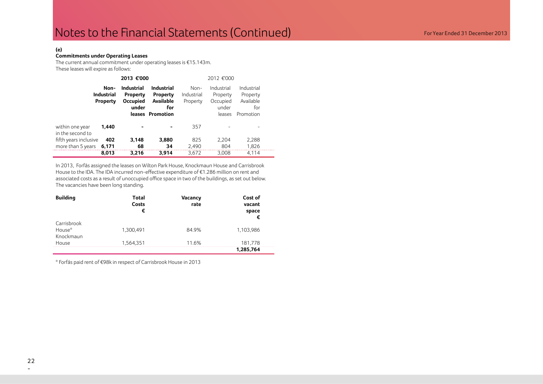#### **(e)**

#### **Commitments under Operating Leases**

The current annual commitment under operating leases is €15.143m. These leases will expire as follows:

|                                     |                                       | 2013 €'000<br>2012 €'000                                         |                                                                              |                                  |                                                       |                                                         |  |
|-------------------------------------|---------------------------------------|------------------------------------------------------------------|------------------------------------------------------------------------------|----------------------------------|-------------------------------------------------------|---------------------------------------------------------|--|
|                                     | Non-<br><b>Industrial</b><br>Property | <b>Industrial</b><br><b>Property</b><br><b>Occupied</b><br>under | <b>Industrial</b><br><b>Property</b><br>Available<br>for<br>leases Promotion | $Non-$<br>Industrial<br>Property | Industrial<br>Property<br>Occupied<br>under<br>leases | Industrial<br>Property<br>Available<br>for<br>Promotion |  |
| within one year<br>in the second to | 1.440                                 |                                                                  |                                                                              | 357                              |                                                       |                                                         |  |
| fifth years inclusive               | 402                                   | 3,148                                                            | 3,880                                                                        | 825                              | 2,204                                                 | 2,288                                                   |  |
| more than 5 years                   | 6,171                                 | 68                                                               | 34                                                                           | 2,490                            | 804                                                   | 1,826                                                   |  |
|                                     | 8,013                                 | 3,216                                                            | 3,914                                                                        | 3,672                            | 3,008                                                 | 4,114                                                   |  |

In 2013, Forfás assigned the leases on Wilton Park House, Knockmaun House and Carrisbrook House to the IDA. The IDA incurred non-effective expenditure of €1.286 million on rent and associated costs as a result of unoccupied office space in two of the buildings, as set out below. The vacancies have been long standing.

| <b>Building</b>                    | Total<br>Costs<br>€ | Vacancy<br>rate | Cost of<br>vacant<br>space<br>€ |
|------------------------------------|---------------------|-----------------|---------------------------------|
| Carrisbrook<br>House*<br>Knockmaun | 1,300,491           | 84.9%           | 1,103,986                       |
| House                              | 1.564.351           | 11.6%           | 181,778<br>1,285,764            |

\* Forfás paid rent of €98k in respect of Carrisbrook House in 2013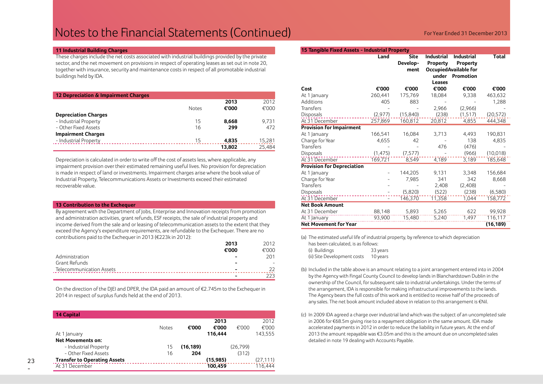## Notes to the Financial Statements (Continued)

#### **11 Industrial Building Charges**

These charges include the net costs associated with industrial buildings provided by the private sector, and the net movement on provisions in respect of operating leases as set out in note 20, together with insurance, security and maintenance costs in respect of all promotable industrial buildings held by IDA.

| 12 Depreciation & Impairment Charges |              |        |        |
|--------------------------------------|--------------|--------|--------|
|                                      |              | 2013   | 2012   |
|                                      | <b>Notes</b> | €'000  | €'000  |
| <b>Depreciation Charges</b>          |              |        |        |
| - Industrial Property                | 15           | 8.668  | 9.731  |
| - Other Fixed Assets                 | 16           | 299    | 472    |
| <b>Impairment Charges</b>            |              |        |        |
| - Industrial Property                | 15           | 4.835  | 15,281 |
|                                      |              | 13,802 | 25.484 |

Depreciation is calculated in order to write off the cost of assets less, where applicable, any impairment provision over their estimated remaining useful lives. No provision for depreciation is made in respect of land or investments. Impairment charges arise where the book value of Industrial Property, Telecommunications Assets or Investments exceed their estimated recoverable value.

#### **13 Contribution to the Exchequer**

By agreement with the Department of Jobs, Enterprise and Innovation receipts from promotion and administration activities, grant refunds, ESF receipts, the sale of industrial property and income derived from the sale and or leasing of telecommunication assets to the extent that they exceed the Agency's expenditure requirements, are refundable to the Exchequer. There are no contributions paid to the Exchequer in 2013 (€223k in 2012):

|                          | 2013  | 2012  |
|--------------------------|-------|-------|
|                          | €'000 | €'000 |
| Administration           |       | 201   |
| Grant Refunds            | -     | -     |
| Telecommunication Assets | -     | フフ    |
|                          | -     | 223   |

On the direction of the DJEI and DPER, the IDA paid an amount of €2.745m to the Exchequer in 2014 in respect of surplus funds held at the end of 2013.

| <b>14 Capital</b>                   |              |           |          |           |           |
|-------------------------------------|--------------|-----------|----------|-----------|-----------|
|                                     |              |           | 2013     |           | 2012      |
|                                     | <b>Notes</b> | €'000     | €'000    | €'000     | €'000     |
| At 1 January                        |              |           | 116.444  |           | 143,555   |
| <b>Net Movements on:</b>            |              |           |          |           |           |
| - Industrial Property               | 15           | (16, 189) |          | (26, 799) |           |
| - Other Fixed Assets                | 16           | 204       |          | (312)     |           |
| <b>Transfer to Operating Assets</b> |              |           | (15,985) |           | (27, 111) |
| At 31 December                      |              |           | 100,459  |           | 116.444   |

|  | For Year Ended 31 December 20 |  |
|--|-------------------------------|--|
|  |                               |  |

| 15 Tangible Fixed Assets - Industrial Property |          |                          |                                      |                                                               |           |
|------------------------------------------------|----------|--------------------------|--------------------------------------|---------------------------------------------------------------|-----------|
|                                                | Land     | Site<br>Develop-<br>ment | <b>Industrial</b><br><b>Property</b> | <b>Industrial</b><br>Property<br><b>OccupiedAvailable for</b> | Total     |
|                                                |          |                          | under<br>Leases                      | Promotion                                                     |           |
| Cost                                           | €'000    | €'000                    | €'000                                | €'000                                                         | €'000     |
| At 1 January                                   | 260,441  | 175,769                  | 18,084                               | 9,338                                                         | 463,632   |
| Additions                                      | 405      | 883                      |                                      |                                                               | 1,288     |
| <b>Transfers</b>                               |          |                          | 2,966                                | (2,966)                                                       |           |
| Disposals                                      | (2,977)  | (15, 840)                | (238)                                | (1, 517)                                                      | (20, 572) |
| At 31 December                                 | 257,869  | 160,812                  | 20,812                               | 4,855                                                         | 444,348   |
| <b>Provision for Impairment</b>                |          |                          |                                      |                                                               |           |
| At 1 January                                   | 166,541  | 16,084                   | 3,713                                | 4,493                                                         | 190,831   |
| Charge for Year                                | 4,655    | 42                       |                                      | 138                                                           | 4,835     |
| Transfers                                      |          |                          | 476                                  | (476)                                                         |           |
| Disposals                                      | (1, 475) | (7, 577)                 |                                      | (966)                                                         | (10,018)  |
| At 31 December                                 | 169,721  | 8,549                    | 4,189                                | 3,189                                                         | 185,648   |
| <b>Provision for Depreciation</b>              |          |                          |                                      |                                                               |           |
| At 1 January                                   |          | 144,205                  | 9,131                                | 3,348                                                         | 156,684   |
| Charge for Year                                |          | 7,985                    | 341                                  | 342                                                           | 8,668     |
| <b>Transfers</b>                               |          |                          | 2,408                                | (2,408)                                                       |           |
| Disposals                                      |          | (5,820)                  | (522)                                | (238)                                                         | (6,580)   |
| At 31 December                                 |          | 146,370                  | 11,358                               | 1,044                                                         | 158,772   |
| <b>Net Book Amount</b>                         |          |                          |                                      |                                                               |           |
| At 31 December                                 | 88,148   | 5,893                    | 5,265                                | 622                                                           | 99,928    |
| At 1 January                                   | 93,900   | 15,480                   | 5,240                                | 1,497                                                         | 116,117   |
| <b>Net Movement for Year</b>                   |          |                          |                                      |                                                               | (16, 189) |

(a) The estimated useful life of industrial property, by reference to which depreciation

| has been calculated, is as follows: |          |
|-------------------------------------|----------|
| (i) Buildings                       | 33 years |
| (ii) Site Development costs         | 10 years |

- (b) Included in the table above is an amount relating to a joint arrangement entered into in 2004 by the Agency with Fingal County Council to develop lands in Blanchardstown Dublin in the ownership of the Council, for subsequent sale to industrial undertakings. Under the terms of the arrangement, IDA is responsible for making infrastructural improvements to the lands. The Agency bears the full costs of this work and is entitled to receive half of the proceeds of any sales. The net book amount included above in relation to this arrangement is €Nil.
- (c) In 2009 IDA agreed a charge over industrial land which was the subject of an uncompleted sale in 2006 for €68.5m giving rise to a repayment obligation in the same amount. IDA made accelerated payments in 2012 in order to reduce the liability in future years. At the end of 2013 the amount repayable was €3.05m and this is the amount due on uncompleted sales detailed in note 19 dealing with Accounts Payable.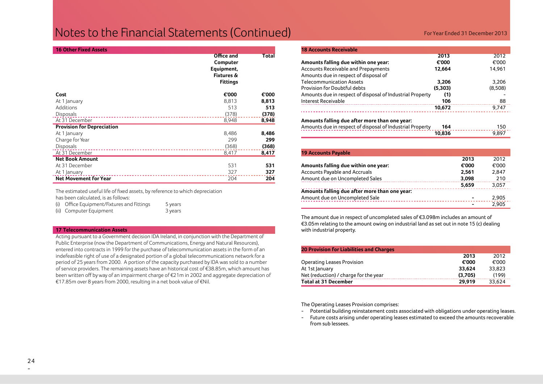## **Notes to the Financial Statements (Continued)** For Year Ended 31 December 2013

| <b>16 Other Fixed Assets</b>      |                                                                                  |       |
|-----------------------------------|----------------------------------------------------------------------------------|-------|
|                                   | Office and<br>Computer<br>Equipment,<br><b>Fixtures &amp;</b><br><b>Fittings</b> | Total |
| Cost                              | €'000                                                                            | €'000 |
| At 1 January                      | 8,813                                                                            | 8,813 |
| Additions                         | 513                                                                              | 513   |
| Disposals                         | (378)                                                                            | (378) |
| At 31 December                    | 8,948                                                                            | 8,948 |
| <b>Provision for Depreciation</b> |                                                                                  |       |
| At 1 January                      | 8,486                                                                            | 8,486 |
| Charge for Year                   | 299                                                                              | 299   |
| Disposals                         | (368)                                                                            | (368) |
| At 31 December                    | 8,417                                                                            | 8,417 |
| <b>Net Book Amount</b>            |                                                                                  |       |
| At 31 December                    | 531                                                                              | 531   |
| At 1 January                      | 327                                                                              | 327   |
| <b>Net Movement for Year</b>      | 204                                                                              | 204   |

The estimated useful life of fixed assets, by reference to which depreciation has been calculated, is as follows:

(i) Office Equipment/Fixtures and Fittings 5 years (ii) Computer Equipment 3 years

#### **17 Telecommunication Assets**

Acting pursuant to a Government decision IDA Ireland, in conjunction with the Department of Public Enterprise (now the Department of Communications, Energy and Natural Resources), entered into contracts in 1999 for the purchase of telecommunication assets in the form of an indefeasible right of use of a designated portion of a global telecommunications network for a period of 25 years from 2000. A portion of the capacity purchased by IDA was sold to a number of service providers. The remaining assets have an historical cost of €38.85m, which amount has been written off by way of an impairment charge of €21m in 2002 and aggregate depreciation of €17.85m over 8 years from 2000, resulting in a net book value of €Nil.

| <b>18 Accounts Receivable</b>                                                |         |         |
|------------------------------------------------------------------------------|---------|---------|
|                                                                              | 2013    | 2012    |
| Amounts falling due within one year:                                         | €'000   | €'000   |
| Accounts Receivable and Prepayments<br>Amounts due in respect of disposal of | 12.664  | 14.961  |
| <b>Telecommunication Assets</b>                                              | 3.206   | 3.206   |
| Provision for Doubtful debts                                                 | (5,303) | (8,508) |
| Amounts due in respect of disposal of Industrial Property                    | (1)     |         |
| Interest Receivable                                                          | 106     | 88      |
|                                                                              | 10.672  | 9.747   |
| Amounts falling due after more than one year:                                |         |         |
| Amounts due in respect of disposal of Industrial Property                    | 164     | 150     |
|                                                                              | 10,836  | 9,897   |

| <b>19 Accounts Payable</b>                    |                |       |
|-----------------------------------------------|----------------|-------|
|                                               | 2013           | 2012  |
| Amounts falling due within one year:          | €'000          | €'000 |
| <b>Accounts Payable and Accruals</b>          | 2.561          | 2.847 |
| Amount due on Uncompleted Sales               | 3.098          | 210   |
|                                               | 5.659          | 3,057 |
| Amounts falling due after more than one year: |                |       |
| Amount due on Uncompleted Sale                | $\blacksquare$ | 2,905 |
|                                               |                | 2,905 |

The amount due in respect of uncompleted sales of €3.098m includes an amount of €3.05m relating to the amount owing on industrial land as set out in note 15 (c) dealing with industrial property.

| <b>20 Provision for Liabilities and Charges</b> |         |        |  |
|-------------------------------------------------|---------|--------|--|
|                                                 | 2013    | 2012   |  |
| <b>Operating Leases Provision</b>               | €'000   | €'000  |  |
| At 1st January                                  | 33.624  | 33.823 |  |
| Net (reduction) / charge for the year           | (3.705) | (199)  |  |
| <b>Total at 31 December</b>                     | 29.919  | 33.624 |  |

The Operating Leases Provision comprises:

- Potential building reinstatement costs associated with obligations under operating leases.
- Future costs arising under operating leases estimated to exceed the amounts recoverable from sub lessees.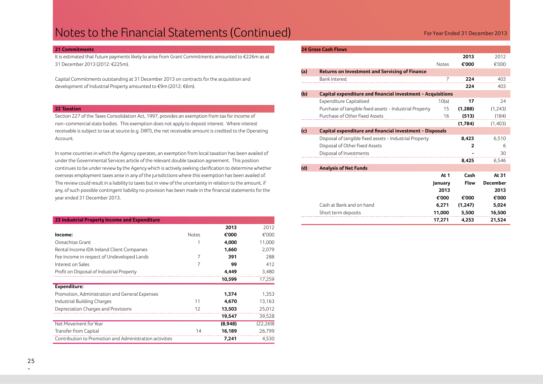## Notes to the Financial Statements (Continued) **For Statements** for Year Ended 31 December 2013

#### **21 Commitments**

It is estimated that future payments likely to arise from Grant Commitments amounted to €226m as at 31 December 2013 (2012: €225m).

Capital Commitments outstanding at 31 December 2013 on contracts for the acquisition and development of Industrial Property amounted to €9m (2012: €6m).

#### **22 Taxation**

Section 227 of the Taxes Consolidation Act, 1997, provides an exemption from tax for income of non-commercial state bodies. This exemption does not apply to deposit interest. Where interest receivable is subject to tax at source (e.g. DIRT), the net receivable amount is credited to the Operating Account.

In some countries in which the Agency operates, an exemption from local taxation has been availed of under the Governmental Services article of the relevant double taxation agreement. This position continues to be under review by the Agency which is actively seeking clarification to determine whether overseas employment taxes arise in any of the jurisdictions where this exemption has been availed of. The review could result in a liability to taxes but in view of the uncertainty in relation to the amount, if any, of such possible contingent liability no provision has been made in the financial statements for the year ended 31 December 2013.

| 23 Industrial Property Income and Expenditure |  |  |
|-----------------------------------------------|--|--|
|                                               |  |  |

|                                                         |              | 2013    | 2012      |
|---------------------------------------------------------|--------------|---------|-----------|
| Income:                                                 | <b>Notes</b> | €'000   | €'000     |
| Oireachtas Grant                                        |              | 4,000   | 11,000    |
| Rental Income IDA Ireland Client Companies              |              | 1,660   | 2,079     |
| Fee Income in respect of Undeveloped Lands              |              | 391     | 288       |
| Interest on Sales                                       | 7            | 99      | 412       |
| Profit on Disposal of Industrial Property               |              | 4.449   | 3,480     |
|                                                         |              | 10,599  | 17,259    |
| Expenditure:                                            |              |         |           |
| Promotion, Administration and General Expenses          |              | 1,374   | 1,353     |
| Industrial Building Charges                             | 11           | 4,670   | 13,163    |
| Depreciation Charges and Provisions                     | 12           | 13,503  | 25,012    |
|                                                         |              | 19,547  | 39,528    |
| Net Movement for Year                                   |              | (8,948) | (22, 269) |
| Transfer from Capital                                   | 14           | 16,189  | 26,799    |
| Contribution to Promotion and Administration activities |              | 7,241   | 4,530     |

#### **24 Gross Cash Flows**

|     |                                                             |              | 2013         | 2012            |
|-----|-------------------------------------------------------------|--------------|--------------|-----------------|
|     |                                                             | <b>Notes</b> | €'000        | €'000           |
| (a) | <b>Returns on Investment and Servicing of Finance</b>       |              |              |                 |
|     | <b>Bank Interest</b>                                        | 7            | 224          | 403             |
|     |                                                             |              | 224          | 403             |
| (b) | Capital expenditure and financial investment - Acquisitions |              |              |                 |
|     | <b>Expenditure Capitalised</b>                              | 10(a)        | 17           | 24              |
|     | Purchase of tangible fixed assets - Industrial Property     | 15           | (1,288)      | (1,243)         |
|     | Purchase of Other Fixed Assets                              | 16           | (513)        | (184)           |
|     |                                                             |              | (1,784)      | (1,403)         |
| (c) | Capital expenditure and financial investment - Disposals    |              |              |                 |
|     | Disposal of tangible fixed assets - Industrial Property     |              | 8,423        | 6,510           |
|     | Disposal of Other Fixed Assets                              |              | $\mathbf{2}$ | 6               |
|     | Disposal of Investments                                     |              |              | 30              |
|     |                                                             |              | 8,425        | 6,546           |
| (d) | <b>Analysis of Net Funds</b>                                |              |              |                 |
|     |                                                             | At 1         | Cash         | At 31           |
|     |                                                             | January      | <b>Flow</b>  | <b>December</b> |
|     |                                                             | 2013         |              | 2013            |
|     |                                                             | €'000        | €'000        | €'000           |
|     | Cash at Bank and on hand                                    | 6.271        | (1,247)      | 5,024           |
|     | Short term deposits                                         | 11,000       | 5,500        | 16,500          |
|     |                                                             | 17,271       | 4,253        | 21,524          |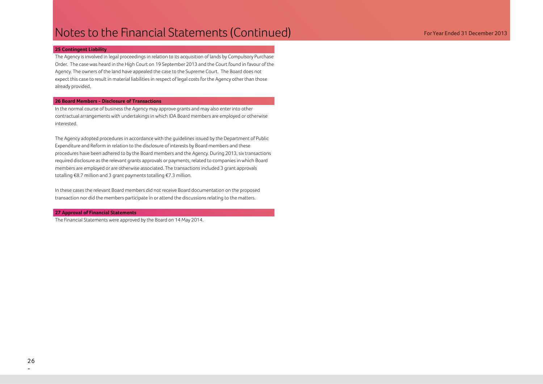#### **25 Contingent Liability**

The Agency is involved in legal proceedings in relation to its acquisition of lands by Compulsory Purchase Order. The case was heard in the High Court on 19 September 2013 and the Court found in favour of the Agency. The owners of the land have appealed the case to the Supreme Court. The Board does not expect this case to result in material liabilities in respect of legal costs for the Agency other than those already provided.

#### **26 Board Members - Disclosure of Transactions**

In the normal course of business the Agency may approve grants and may also enter into other contractual arrangements with undertakings in which IDA Board members are employed or otherwise interested.

The Agency adopted procedures in accordance with the guidelines issued by the Department of Public Expenditure and Reform in relation to the disclosure of interests by Board members and these procedures have been adhered to by the Board members and the Agency. During 2013, six transactions required disclosure as the relevant grants approvals or payments, related to companies in which Board members are employed or are otherwise associated. The transactions included 3 grant approvals totalling €8.7 million and 3 grant payments totalling €7.3 million.

In these cases the relevant Board members did not receive Board documentation on the proposed transaction nor did the members participate in or attend the discussions relating to the matters.

#### **27 Approval of Financial Statements**

The Financial Statements were approved by the Board on 14 May 2014.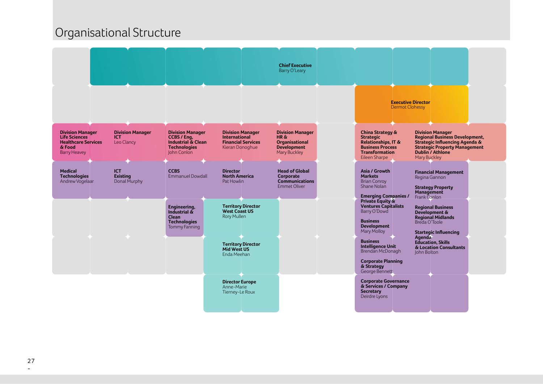## Organisational Structure